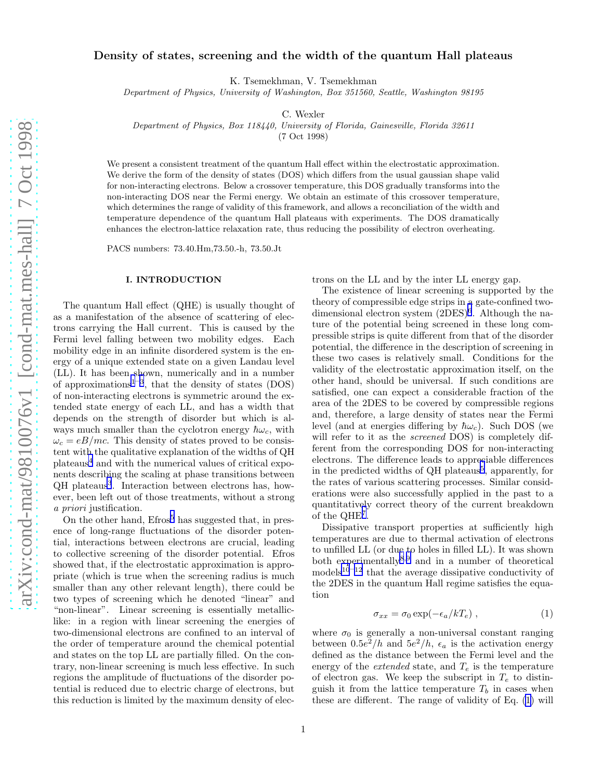# <span id="page-0-0"></span>Density of states, screening and the width of the quantum Hall plateaus

K. Tsemekhman, V. Tsemekhman

Department of Physics, University of Washington, Box 351560, Seattle, Washington 98195

C. Wexler

Department of Physics, Box 118440, University of Florida, Gainesville, Florida 32611

(7 Oct 1998)

We present a consistent treatment of the quantum Hall effect within the electrostatic approximation. We derive the form of the density of states (DOS) which differs from the usual gaussian shape valid for non-interacting electrons. Below a crossover temperature, this DOS gradually transforms into the non-interacting DOS near the Fermi energy. We obtain an estimate of this crossover temperature, which determines the range of validity of this framework, and allows a reconciliation of the width and temperature dependence of the quantum Hall plateaus with experiments. The DOS dramatically enhances the electron-lattice relaxation rate, thus reducing the possibility of electron overheating.

PACS numbers: 73.40.Hm,73.50.-h, 73.50.Jt

#### I. INTRODUCTION

The quantum Hall effect (QHE) is usually thought of as a manifestation of the absence of scattering of electrons carrying the Hall current. This is caused by the Fermi level falling between two mobility edges. Each mobility edge in an infinite disordered system is the energy of a unique extended state on a given Landau level (LL). It has been shown, numerically and in a number of approximations<sup>[1](#page-11-0)-[3](#page-11-0)</sup>, that the density of states (DOS) of non-interacting electrons is symmetric around the extended state energy of each LL, and has a width that depends on the strength of disorder but which is always much smaller than the cyclotron energy  $\hbar\omega_c$ , with  $\omega_c = eB/mc$ . This density of states proved to be consistent with the qualitative explanation of the widths of QH plateaus[4](#page-11-0) and with the numerical values of critical exponents describing the scaling at phase transitions between QH plateaus<sup>[3](#page-11-0)</sup>. Interaction between electrons has, however, been left out of those treatments, without a strong a priori justification.

On the other hand,  $E$ fros<sup>[5](#page-11-0)</sup> has suggested that, in presence of long-range fluctuations of the disorder potential, interactions between electrons are crucial, leading to collective screening of the disorder potential. Efros showed that, if the electrostatic approximation is appropriate (which is true when the screening radius is much smaller than any other relevant length), there could be two types of screening which he denoted "linear" and "non-linear". Linear screening is essentially metalliclike: in a region with linear screening the energies of two-dimensional electrons are confined to an interval of the order of temperature around the chemical potential and states on the top LL are partially filled. On the contrary, non-linear screening is much less effective. In such regions the amplitude of fluctuations of the disorder potential is reduced due to electric charge of electrons, but this reduction is limited by the maximum density of electrons on the LL and by the inter LL energy gap.

The existence of linear screening is supported by the theory of compressible edge strips in a gate-confined twodimensional electron system  $(2DES)^6$  $(2DES)^6$ . Although the nature of the potential being screened in these long compressible strips is quite different from that of the disorder potential, the difference in the description of screening in these two cases is relatively small. Conditions for the validity of the electrostatic approximation itself, on the other hand, should be universal. If such conditions are satisfied, one can expect a considerable fraction of the area of the 2DES to be covered by compressible regions and, therefore, a large density of states near the Fermi level (and at energies differing by  $\hbar\omega_c$ ). Such DOS (we will refer to it as the *screened* DOS) is completely different from the corresponding DOS for non-interacting electrons. The difference leads to appreciable differences in the predicted widths of QH plateaus<sup>[5](#page-11-0)</sup>, apparently, for the rates of various scattering processes. Similar considerations were also successfully applied in the past to a quantitatively correct theory of the current breakdown of the QHE[7](#page-11-0) .

Dissipative transport properties at sufficiently high temperatures are due to thermal activation of electrons to unfilled LL (or due to holes in filled LL). It was shown both experimentally<sup>[8](#page-11-0),[9](#page-11-0)</sup> and in a number of theoretical models<sup>[10](#page-11-0)–[12](#page-11-0)</sup> that the average dissipative conductivity of the 2DES in the quantum Hall regime satisfies the equation

$$
\sigma_{xx} = \sigma_0 \exp(-\epsilon_a/kT_e) \,, \tag{1}
$$

where  $\sigma_0$  is generally a non-universal constant ranging between  $0.5e^2/h$  and  $5e^2/h$ ,  $\epsilon_a$  is the activation energy defined as the distance between the Fermi level and the energy of the *extended* state, and  $T_e$  is the temperature of electron gas. We keep the subscript in  $T_e$  to distinguish it from the lattice temperature  $T_b$  in cases when these are different. The range of validity of Eq. (1) will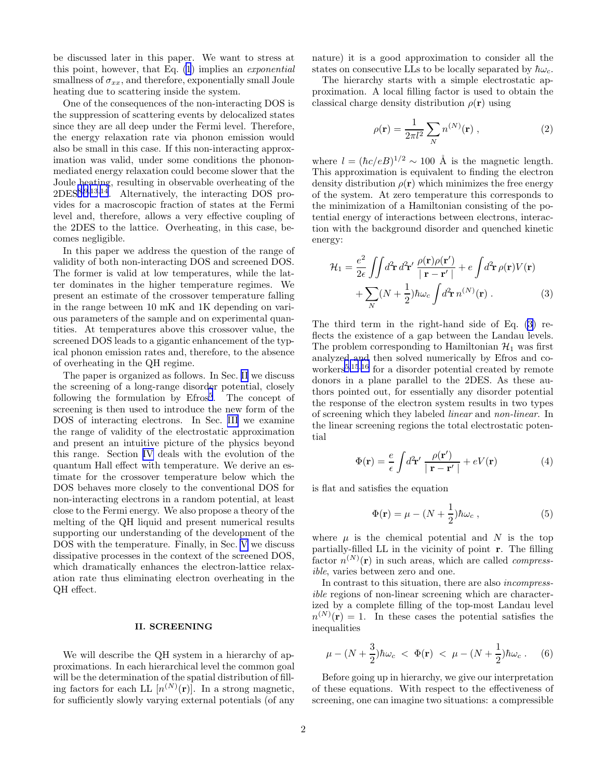<span id="page-1-0"></span>be discussed later in this paper. We want to stress at this point, however, that Eq. [\(1](#page-0-0)) implies an exponential smallness of  $\sigma_{xx}$ , and therefore, exponentially small Joule heating due to scattering inside the system.

One of the consequences of the non-interacting DOS is the suppression of scattering events by delocalized states since they are all deep under the Fermi level. Therefore, the energy relaxation rate via phonon emission would also be small in this case. If this non-interacting approximation was valid, under some conditions the phononmediated energy relaxation could become slower that the Joule heating, resulting in observable overheating of the 2DES[8](#page-11-0),[9](#page-11-0),[13](#page-11-0),[14](#page-11-0). Alternatively, the interacting DOS provides for a macroscopic fraction of states at the Fermi level and, therefore, allows a very effective coupling of the 2DES to the lattice. Overheating, in this case, becomes negligible.

In this paper we address the question of the range of validity of both non-interacting DOS and screened DOS. The former is valid at low temperatures, while the latter dominates in the higher temperature regimes. We present an estimate of the crossover temperature falling in the range between 10 mK and 1K depending on various parameters of the sample and on experimental quantities. At temperatures above this crossover value, the screened DOS leads to a gigantic enhancement of the typical phonon emission rates and, therefore, to the absence of overheating in the QH regime.

The paper is organized as follows. In Sec. II we discuss the screening of a long-range disorder potential, closely following the formulation by Efros<sup>[5](#page-11-0)</sup>. The concept of screening is then used to introduce the new form of the DOS of interacting electrons. In Sec. [III](#page-3-0) we examine the range of validity of the electrostatic approximation and present an intuitive picture of the physics beyond this range. Section [IV](#page-4-0) deals with the evolution of the quantum Hall effect with temperature. We derive an estimate for the crossover temperature below which the DOS behaves more closely to the conventional DOS for non-interacting electrons in a random potential, at least close to the Fermi energy. We also propose a theory of the melting of the QH liquid and present numerical results supporting our understanding of the development of the DOS with the temperature. Finally, in Sec. [V](#page-8-0) we discuss dissipative processes in the context of the screened DOS, which dramatically enhances the electron-lattice relaxation rate thus eliminating electron overheating in the QH effect.

### II. SCREENING

We will describe the QH system in a hierarchy of approximations. In each hierarchical level the common goal will be the determination of the spatial distribution of filling factors for each LL  $[n^{(N)}(\mathbf{r})]$ . In a strong magnetic, for sufficiently slowly varying external potentials (of any nature) it is a good approximation to consider all the states on consecutive LLs to be locally separated by  $\hbar\omega_c$ .

The hierarchy starts with a simple electrostatic approximation. A local filling factor is used to obtain the classical charge density distribution  $\rho(\mathbf{r})$  using

$$
\rho(\mathbf{r}) = \frac{1}{2\pi l^2} \sum_{N} n^{(N)}(\mathbf{r}) , \qquad (2)
$$

where  $l = (\hbar c/eB)^{1/2} \sim 100$  Å is the magnetic length. This approximation is equivalent to finding the electron density distribution  $\rho(\mathbf{r})$  which minimizes the free energy of the system. At zero temperature this corresponds to the minimization of a Hamiltonian consisting of the potential energy of interactions between electrons, interaction with the background disorder and quenched kinetic energy:

$$
\mathcal{H}_1 = \frac{e^2}{2\epsilon} \iint d^2 \mathbf{r} \, d^2 \mathbf{r}' \, \frac{\rho(\mathbf{r})\rho(\mathbf{r}')}{|\mathbf{r} - \mathbf{r}'|} + e \int d^2 \mathbf{r} \, \rho(\mathbf{r}) V(\mathbf{r}) \n+ \sum_N (N + \frac{1}{2}) \hbar \omega_c \int d^2 \mathbf{r} \, n^{(N)}(\mathbf{r}) .
$$
\n(3)

The third term in the right-hand side of Eq. (3) reflects the existence of a gap between the Landau levels. The problem corresponding to Hamiltonian  $\mathcal{H}_1$  was first analyzed and then solved numerically by Efros and co-workers<sup>[5](#page-11-0),[15](#page-11-0),[16](#page-11-0)</sup> for a disorder potential created by remote donors in a plane parallel to the 2DES. As these authors pointed out, for essentially any disorder potential the response of the electron system results in two types of screening which they labeled linear and non-linear. In the linear screening regions the total electrostatic potential

$$
\Phi(\mathbf{r}) = \frac{e}{\epsilon} \int d^2 \mathbf{r}' \frac{\rho(\mathbf{r}')}{|\mathbf{r} - \mathbf{r}'|} + eV(\mathbf{r}) \tag{4}
$$

is flat and satisfies the equation

$$
\Phi(\mathbf{r}) = \mu - (N + \frac{1}{2})\hbar\omega_c , \qquad (5)
$$

where  $\mu$  is the chemical potential and N is the top partially-filled LL in the vicinity of point r. The filling factor  $n^{(N)}(\mathbf{r})$  in such areas, which are called *compress*ible, varies between zero and one.

In contrast to this situation, there are also incompressible regions of non-linear screening which are characterized by a complete filling of the top-most Landau level  $n^{(N)}(\mathbf{r})=1$ . In these cases the potential satisfies the inequalities

$$
\mu - (N + \frac{3}{2})\hbar\omega_c < \Phi(\mathbf{r}) < \mu - (N + \frac{1}{2})\hbar\omega_c.
$$
 (6)

Before going up in hierarchy, we give our interpretation of these equations. With respect to the effectiveness of screening, one can imagine two situations: a compressible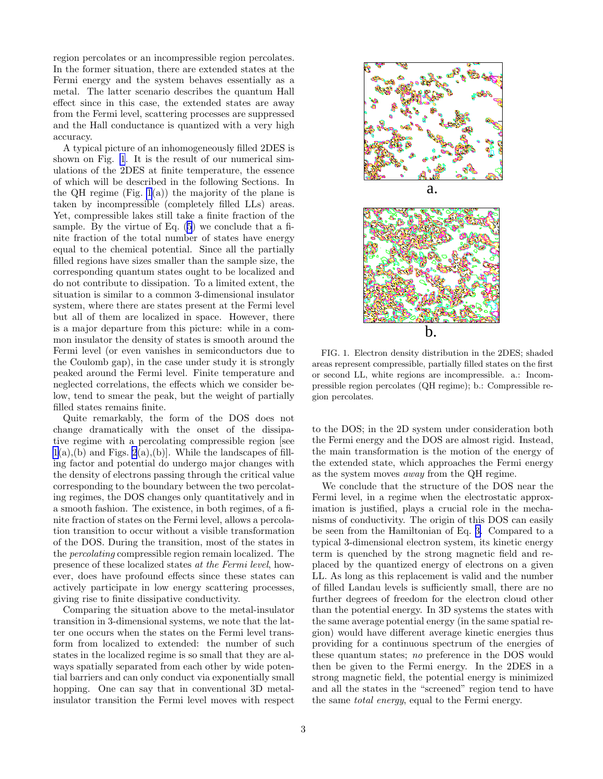region percolates or an incompressible region percolates. In the former situation, there are extended states at the Fermi energy and the system behaves essentially as a metal. The latter scenario describes the quantum Hall effect since in this case, the extended states are away from the Fermi level, scattering processes are suppressed and the Hall conductance is quantized with a very high accuracy.

A typical picture of an inhomogeneously filled 2DES is shown on Fig. 1. It is the result of our numerical simulations of the 2DES at finite temperature, the essence of which will be described in the following Sections. In the QH regime (Fig.  $1(a)$ ) the majority of the plane is taken by incompressible (completely filled LLs) areas. Yet, compressible lakes still take a finite fraction of the sample. By the virtue of Eq. [\(5](#page-1-0)) we conclude that a finite fraction of the total number of states have energy equal to the chemical potential. Since all the partially filled regions have sizes smaller than the sample size, the corresponding quantum states ought to be localized and do not contribute to dissipation. To a limited extent, the situation is similar to a common 3-dimensional insulator system, where there are states present at the Fermi level but all of them are localized in space. However, there is a major departure from this picture: while in a common insulator the density of states is smooth around the Fermi level (or even vanishes in semiconductors due to the Coulomb gap), in the case under study it is strongly peaked around the Fermi level. Finite temperature and neglected correlations, the effects which we consider below, tend to smear the peak, but the weight of partially filled states remains finite.

Quite remarkably, the form of the DOS does not change dramatically with the onset of the dissipative regime with a percolating compressible region [see  $1(a)$ , (b) and Figs.  $2(a)$ , (b). While the landscapes of filling factor and potential do undergo major changes with the density of electrons passing through the critical value corresponding to the boundary between the two percolating regimes, the DOS changes only quantitatively and in a smooth fashion. The existence, in both regimes, of a finite fraction of states on the Fermi level, allows a percolation transition to occur without a visible transformation of the DOS. During the transition, most of the states in the percolating compressible region remain localized. The presence of these localized states at the Fermi level, however, does have profound effects since these states can actively participate in low energy scattering processes, giving rise to finite dissipative conductivity.

Comparing the situation above to the metal-insulator transition in 3-dimensional systems, we note that the latter one occurs when the states on the Fermi level transform from localized to extended: the number of such states in the localized regime is so small that they are always spatially separated from each other by wide potential barriers and can only conduct via exponentially small hopping. One can say that in conventional 3D metalinsulator transition the Fermi level moves with respect



FIG. 1. Electron density distribution in the 2DES; shaded areas represent compressible, partially filled states on the first or second LL, white regions are incompressible. a.: Incompressible region percolates (QH regime); b.: Compressible region percolates.

to the DOS; in the 2D system under consideration both the Fermi energy and the DOS are almost rigid. Instead, the main transformation is the motion of the energy of the extended state, which approaches the Fermi energy as the system moves away from the QH regime.

We conclude that the structure of the DOS near the Fermi level, in a regime when the electrostatic approximation is justified, plays a crucial role in the mechanisms of conductivity. The origin of this DOS can easily be seen from the Hamiltonian of Eq. [3.](#page-1-0) Compared to a typical 3-dimensional electron system, its kinetic energy term is quenched by the strong magnetic field and replaced by the quantized energy of electrons on a given LL. As long as this replacement is valid and the number of filled Landau levels is sufficiently small, there are no further degrees of freedom for the electron cloud other than the potential energy. In 3D systems the states with the same average potential energy (in the same spatial region) would have different average kinetic energies thus providing for a continuous spectrum of the energies of these quantum states; no preference in the DOS would then be given to the Fermi energy. In the 2DES in a strong magnetic field, the potential energy is minimized and all the states in the "screened" region tend to have the same total energy, equal to the Fermi energy.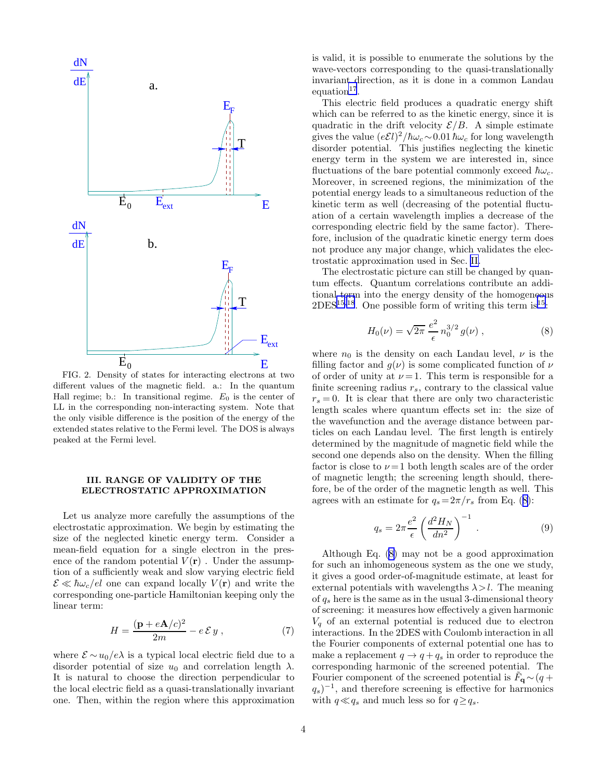<span id="page-3-0"></span>

FIG. 2. Density of states for interacting electrons at two different values of the magnetic field. a.: In the quantum Hall regime; b.: In transitional regime.  $E_0$  is the center of LL in the corresponding non-interacting system. Note that the only visible difference is the position of the energy of the extended states relative to the Fermi level. The DOS is always peaked at the Fermi level.

## III. RANGE OF VALIDITY OF THE ELECTROSTATIC APPROXIMATION

Let us analyze more carefully the assumptions of the electrostatic approximation. We begin by estimating the size of the neglected kinetic energy term. Consider a mean-field equation for a single electron in the presence of the random potential  $V(\mathbf{r})$ . Under the assumption of a sufficiently weak and slow varying electric field  $\mathcal{E} \ll \hbar \omega_c / el$  one can expand locally  $V(\mathbf{r})$  and write the corresponding one-particle Hamiltonian keeping only the linear term:

$$
H = \frac{(\mathbf{p} + e\mathbf{A}/c)^2}{2m} - e\,\mathcal{E}\,y\,,\tag{7}
$$

where  $\mathcal{E} \sim u_0/e\lambda$  is a typical local electric field due to a disorder potential of size  $u_0$  and correlation length  $\lambda$ . It is natural to choose the direction perpendicular to the local electric field as a quasi-translationally invariant one. Then, within the region where this approximation  $equation<sup>17</sup>$  $equation<sup>17</sup>$  $equation<sup>17</sup>$ .

is valid, it is possible to enumerate the solutions by the wave-vectors corresponding to the quasi-translationally invariant direction, as it is done in a common Landau

This electric field produces a quadratic energy shift

gives the value  $(e \mathcal{E} l)^2 / \hbar \omega_c \sim 0.01 \hbar \omega_c$  for long wavelength disorder potential. This justifies neglecting the kinetic energy term in the system we are interested in, since fluctuations of the bare potential commonly exceed  $\hbar\omega_c$ . Moreover, in screened regions, the minimization of the potential energy leads to a simultaneous reduction of the kinetic term as well (decreasing of the potential fluctuation of a certain wavelength implies a decrease of the corresponding electric field by the same factor). Therefore, inclusion of the quadratic kinetic energy term does not produce any major change, which validates the electrostatic approximation used in Sec. [II.](#page-1-0)

The electrostatic picture can still be changed by quantum effects. Quantum correlations contribute an additional term into the energy density of the homogeneous  $2$ DES<sup>[15](#page-11-0),[18](#page-11-0)</sup>. One possible form of writing this term is<sup>15</sup>:

$$
H_0(\nu) = \sqrt{2\pi} \frac{e^2}{\epsilon} n_0^{3/2} g(\nu) , \qquad (8)
$$

where  $n_0$  is the density on each Landau level,  $\nu$  is the filling factor and  $g(\nu)$  is some complicated function of  $\nu$ of order of unity at  $\nu = 1$ . This term is responsible for a finite screening radius  $r_s$ , contrary to the classical value  $r_s = 0$ . It is clear that there are only two characteristic length scales where quantum effects set in: the size of the wavefunction and the average distance between particles on each Landau level. The first length is entirely determined by the magnitude of magnetic field while the second one depends also on the density. When the filling factor is close to  $\nu = 1$  both length scales are of the order of magnetic length; the screening length should, therefore, be of the order of the magnetic length as well. This agrees with an estimate for  $q_s = 2\pi/r_s$  from Eq. (8):

$$
q_s = 2\pi \frac{e^2}{\epsilon} \left(\frac{d^2 H_N}{dn^2}\right)^{-1} . \tag{9}
$$

Although Eq. (8) may not be a good approximation for such an inhomogeneous system as the one we study, it gives a good order-of-magnitude estimate, at least for external potentials with wavelengths  $\lambda > l$ . The meaning of  $q_s$  here is the same as in the usual 3-dimensional theory of screening: it measures how effectively a given harmonic  $V_q$  of an external potential is reduced due to electron interactions. In the 2DES with Coulomb interaction in all the Fourier components of external potential one has to make a replacement  $q \to q + q_s$  in order to reproduce the corresponding harmonic of the screened potential. The Fourier component of the screened potential is  $\tilde{F}_{\mathbf{q}} \sim (q +$  $(q_s)^{-1}$ , and therefore screening is effective for harmonics with  $q \ll q_s$  and much less so for  $q \geq q_s$ .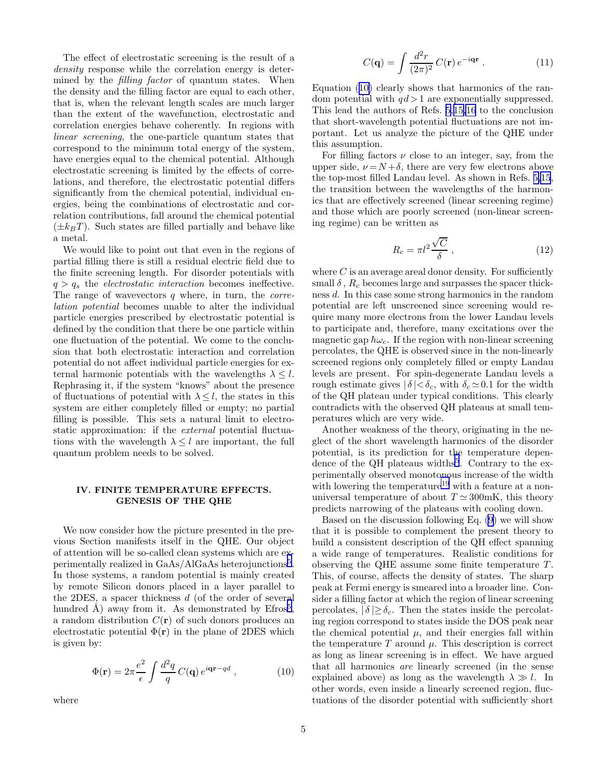<span id="page-4-0"></span>The effect of electrostatic screening is the result of a density response while the correlation energy is determined by the *filling factor* of quantum states. When the density and the filling factor are equal to each other, that is, when the relevant length scales are much larger than the extent of the wavefunction, electrostatic and correlation energies behave coherently. In regions with linear screening, the one-particle quantum states that correspond to the minimum total energy of the system, have energies equal to the chemical potential. Although electrostatic screening is limited by the effects of correlations, and therefore, the electrostatic potential differs significantly from the chemical potential, individual energies, being the combinations of electrostatic and correlation contributions, fall around the chemical potential  $(\pm k_BT)$ . Such states are filled partially and behave like a metal.

We would like to point out that even in the regions of partial filling there is still a residual electric field due to the finite screening length. For disorder potentials with  $q > q_s$  the *electrostatic interaction* becomes ineffective. The range of wavevectors  $q$  where, in turn, the *corre*lation potential becomes unable to alter the individual particle energies prescribed by electrostatic potential is defined by the condition that there be one particle within one fluctuation of the potential. We come to the conclusion that both electrostatic interaction and correlation potential do not affect individual particle energies for external harmonic potentials with the wavelengths  $\lambda \leq l$ . Rephrasing it, if the system "knows" about the presence of fluctuations of potential with  $\lambda \leq l$ , the states in this system are either completely filled or empty; no partial filling is possible. This sets a natural limit to electrostatic approximation: if the external potential fluctuations with the wavelength  $\lambda \leq l$  are important, the full quantum problem needs to be solved.

### IV. FINITE TEMPERATURE EFFECTS. GENESIS OF THE QHE

We now consider how the picture presented in the previous Section manifests itself in the QHE. Our object of attention will be so-called clean systems which are ex-perimentally realized in GaAs/AlGaAs heterojunctions<sup>[5](#page-11-0)</sup>. In those systems, a random potential is mainly created by remote Silicon donors placed in a layer parallel to the 2DES, a spacer thickness d (of the order of several hundred  $\AA$ ) away from it. As demonstrated by Efros<sup>[5](#page-11-0)</sup>, a random distribution  $C(\mathbf{r})$  of such donors produces an electrostatic potential  $\Phi(\mathbf{r})$  in the plane of 2DES which is given by:

$$
\Phi(\mathbf{r}) = 2\pi \frac{e^2}{\epsilon} \int \frac{d^2q}{q} C(\mathbf{q}) e^{i\mathbf{q}\mathbf{r} - qd} , \qquad (10)
$$

where

$$
C(\mathbf{q}) = \int \frac{d^2r}{(2\pi)^2} C(\mathbf{r}) e^{-i\mathbf{q}\mathbf{r}} . \qquad (11)
$$

Equation (10) clearly shows that harmonics of the random potential with  $qd > 1$  are exponentially suppressed. This lead the authors of Refs. [5,15,16](#page-11-0) to the conclusion that short-wavelength potential fluctuations are not important. Let us analyze the picture of the QHE under this assumption.

For filling factors  $\nu$  close to an integer, say, from the upper side,  $\nu = N + \delta$ , there are very few electrons above the top-most filled Landau level. As shown in Refs. [5,15](#page-11-0), the transition between the wavelengths of the harmonics that are effectively screened (linear screening regime) and those which are poorly screened (non-linear screening regime) can be written as

$$
R_c = \pi l^2 \frac{\sqrt{C}}{\delta} , \qquad (12)
$$

where  $C$  is an average areal donor density. For sufficiently small  $\delta$ ,  $R_c$  becomes large and surpasses the spacer thickness d. In this case some strong harmonics in the random potential are left unscreened since screening would require many more electrons from the lower Landau levels to participate and, therefore, many excitations over the magnetic gap  $\hbar\omega_c$ . If the region with non-linear screening percolates, the QHE is observed since in the non-linearly screened regions only completely filled or empty Landau levels are present. For spin-degenerate Landau levels a rough estimate gives  $|\delta| < \delta_c$ , with  $\delta_c \simeq 0.1$  for the width of the QH plateau under typical conditions. This clearly contradicts with the observed QH plateaus at small temperatures which are very wide.

Another weakness of the theory, originating in the neglect of the short wavelength harmonics of the disorder potential, is its prediction for the temperature depen-dence of the QH plateaus widths<sup>[5](#page-11-0)</sup>. Contrary to the experimentally observed monotonous increase of the width with lowering the temperature<sup>[19](#page-11-0)</sup> with a feature at a nonuniversal temperature of about  $T \simeq 300 \text{mK}$ , this theory predicts narrowing of the plateaus with cooling down.

Based on the discussion following Eq.([9\)](#page-3-0) we will show that it is possible to complement the present theory to build a consistent description of the QH effect spanning a wide range of temperatures. Realistic conditions for observing the QHE assume some finite temperature  $T$ . This, of course, affects the density of states. The sharp peak at Fermi energy is smeared into a broader line. Consider a filling factor at which the region of linear screening percolates,  $|\delta| \geq \delta_c$ . Then the states inside the percolating region correspond to states inside the DOS peak near the chemical potential  $\mu$ , and their energies fall within the temperature  $T$  around  $\mu$ . This description is correct as long as linear screening is in effect. We have argued that all harmonics are linearly screened (in the sense explained above) as long as the wavelength  $\lambda \gg l$ . In other words, even inside a linearly screened region, fluctuations of the disorder potential with sufficiently short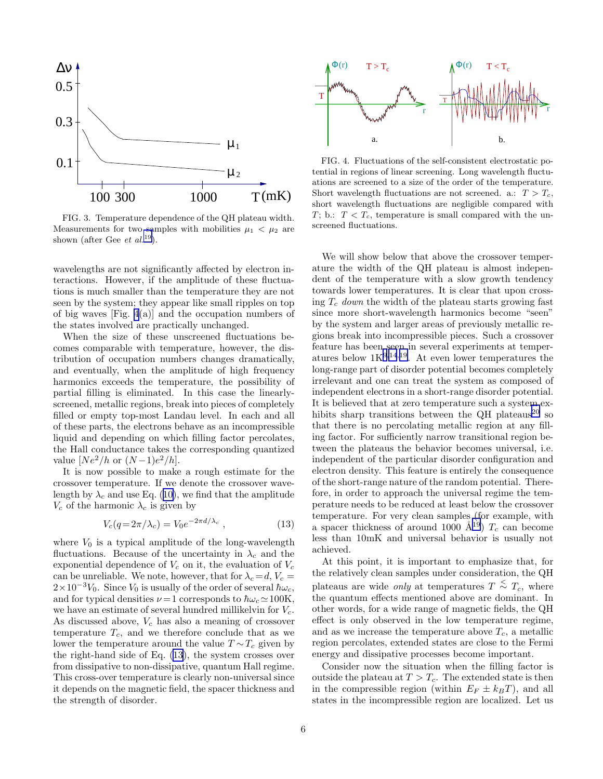

FIG. 3. Temperature dependence of the QH plateau width. Measurements for two samples with mobilities  $\mu_1 < \mu_2$  are shown (after Gee *et al.*<sup>[19](#page-11-0)</sup>).

wavelengths are not significantly affected by electron interactions. However, if the amplitude of these fluctuations is much smaller than the temperature they are not seen by the system; they appear like small ripples on top of big waves [Fig. 4(a)] and the occupation numbers of the states involved are practically unchanged.

When the size of these unscreened fluctuations becomes comparable with temperature, however, the distribution of occupation numbers changes dramatically, and eventually, when the amplitude of high frequency harmonics exceeds the temperature, the possibility of partial filling is eliminated. In this case the linearlyscreened, metallic regions, break into pieces of completely filled or empty top-most Landau level. In each and all of these parts, the electrons behave as an incompressible liquid and depending on which filling factor percolates, the Hall conductance takes the corresponding quantized value  $[Ne^2/h$  or  $(N-1)e^2/h]$ .

It is now possible to make a rough estimate for the crossover temperature. If we denote the crossover wavelengthby  $\lambda_c$  and use Eq. ([10\)](#page-4-0), we find that the amplitude  $V_c$  of the harmonic  $\lambda_c$  is given by

$$
V_c(q=2\pi/\lambda_c) = V_0 e^{-2\pi d/\lambda_c} , \qquad (13)
$$

where  $V_0$  is a typical amplitude of the long-wavelength fluctuations. Because of the uncertainty in  $\lambda_c$  and the exponential dependence of  $V_c$  on it, the evaluation of  $V_c$ can be unreliable. We note, however, that for  $\lambda_c = d, V_c =$  $2\times10^{-3}V_0$ . Since  $V_0$  is usually of the order of several  $\hbar\omega_c$ , and for typical densities  $\nu = 1$  corresponds to  $\hbar \omega_c \simeq 100$ K, we have an estimate of several hundred millikelvin for  $V_c$ . As discussed above,  $V_c$  has also a meaning of crossover temperature  $T_c$ , and we therefore conclude that as we lower the temperature around the value  $T \sim T_c$  given by the right-hand side of Eq. (13), the system crosses over from dissipative to non-dissipative, quantum Hall regime. This cross-over temperature is clearly non-universal since it depends on the magnetic field, the spacer thickness and the strength of disorder.



FIG. 4. Fluctuations of the self-consistent electrostatic potential in regions of linear screening. Long wavelength fluctuations are screened to a size of the order of the temperature. Short wavelength fluctuations are not screened. a.:  $T > T_c$ , short wavelength fluctuations are negligible compared with T; b.:  $T < T_c$ , temperature is small compared with the unscreened fluctuations.

We will show below that above the crossover temperature the width of the QH plateau is almost independent of the temperature with a slow growth tendency towards lower temperatures. It is clear that upon crossing  $T_c$  down the width of the plateau starts growing fast since more short-wavelength harmonics become "seen" by the system and larger areas of previously metallic regions break into incompressible pieces. Such a crossover feature has been seen in several experiments at temperatures below  $1K^{9,14,19}$  $1K^{9,14,19}$  $1K^{9,14,19}$  $1K^{9,14,19}$  $1K^{9,14,19}$  $1K^{9,14,19}$  $1K^{9,14,19}$ . At even lower temperatures the long-range part of disorder potential becomes completely irrelevant and one can treat the system as composed of independent electrons in a short-range disorder potential. It is believed that at zero temperature such a system ex-hibits sharp transitions between the QH plateaus<sup>[20](#page-11-0)</sup> so that there is no percolating metallic region at any filling factor. For sufficiently narrow transitional region between the plateaus the behavior becomes universal, i.e. independent of the particular disorder configuration and electron density. This feature is entirely the consequence of the short-range nature of the random potential. Therefore, in order to approach the universal regime the temperature needs to be reduced at least below the crossover temperature. For very clean samples (for example, with a spacer thickness of around 1000  $\AA^{19}$  $\AA^{19}$  $\AA^{19}$ )  $T_c$  can become less than 10mK and universal behavior is usually not achieved.

At this point, it is important to emphasize that, for the relatively clean samples under consideration, the QH plateaus are wide *only* at temperatures  $T \stackrel{<}{\sim} T_c$ , where the quantum effects mentioned above are dominant. In other words, for a wide range of magnetic fields, the QH effect is only observed in the low temperature regime, and as we increase the temperature above  $T_c$ , a metallic region percolates, extended states are close to the Fermi energy and dissipative processes become important.

Consider now the situation when the filling factor is outside the plateau at  $T > T_c$ . The extended state is then in the compressible region (within  $E_F \pm k_BT$ ), and all states in the incompressible region are localized. Let us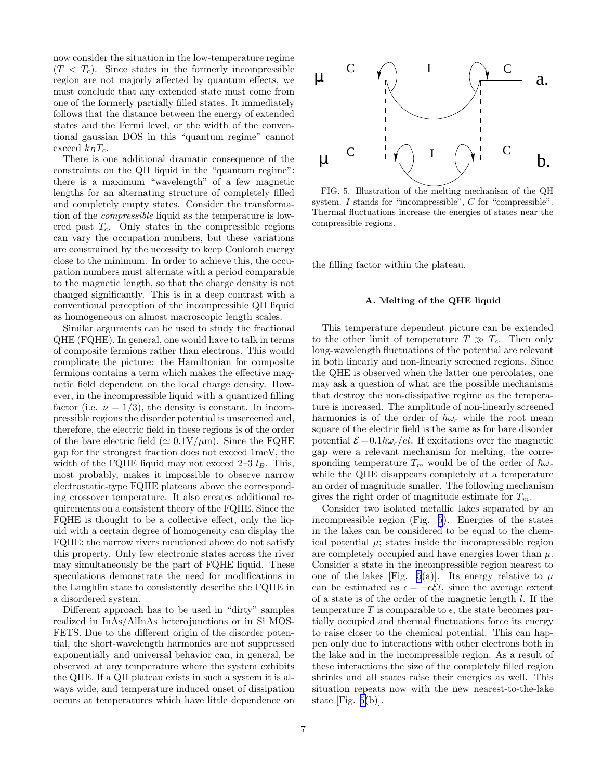now consider the situation in the low-temperature regime  $(T < T_c)$ . Since states in the formerly incompressible region are not majorly affected by quantum effects, we must conclude that any extended state must come from one of the formerly partially filled states. It immediately follows that the distance between the energy of extended states and the Fermi level, or the width of the conventional gaussian DOS in this "quantum regime" cannot exceed  $k_BT_c$ .

There is one additional dramatic consequence of the constraints on the QH liquid in the "quantum regime": there is a maximum "wavelength" of a few magnetic lengths for an alternating structure of completely filled and completely empty states. Consider the transformation of the compressible liquid as the temperature is lowered past  $T_c$ . Only states in the compressible regions can vary the occupation numbers, but these variations are constrained by the necessity to keep Coulomb energy close to the minimum. In order to achieve this, the occupation numbers must alternate with a period comparable to the magnetic length, so that the charge density is not changed significantly. This is in a deep contrast with a conventional perception of the incompressible QH liquid as homogeneous on almost macroscopic length scales.

Similar arguments can be used to study the fractional QHE (FQHE). In general, one would have to talk in terms of composite fermions rather than electrons. This would complicate the picture: the Hamiltonian for composite fermions contains a term which makes the effective magnetic field dependent on the local charge density. However, in the incompressible liquid with a quantized filling factor (i.e.  $\nu = 1/3$ ), the density is constant. In incompressible regions the disorder potential is unscreened and, therefore, the electric field in these regions is of the order of the bare electric field ( $\simeq 0.1 \text{V}/\mu\text{m}$ ). Since the FQHE gap for the strongest fraction does not exceed 1meV, the width of the FQHE liquid may not exceed  $2-3$   $l_B$ . This, most probably, makes it impossible to observe narrow electrostatic-type FQHE plateaus above the corresponding crossover temperature. It also creates additional requirements on a consistent theory of the FQHE. Since the FQHE is thought to be a collective effect, only the liquid with a certain degree of homogeneity can display the FQHE: the narrow rivers mentioned above do not satisfy this property. Only few electronic states across the river may simultaneously be the part of FQHE liquid. These speculations demonstrate the need for modifications in the Laughlin state to consistently describe the FQHE in a disordered system.

Different approach has to be used in "dirty" samples realized in InAs/AlInAs heterojunctions or in Si MOS-FETS. Due to the different origin of the disorder potential, the short-wavelength harmonics are not suppressed exponentially and universal behavior can, in general, be observed at any temperature where the system exhibits the QHE. If a QH plateau exists in such a system it is always wide, and temperature induced onset of dissipation occurs at temperatures which have little dependence on



FIG. 5. Illustration of the melting mechanism of the QH system. I stands for "incompressible", C for "compressible". Thermal fluctuations increase the energies of states near the compressible regions.

the filling factor within the plateau.

#### A. Melting of the QHE liquid

This temperature dependent picture can be extended to the other limit of temperature  $T \gg T_c$ . Then only long-wavelength fluctuations of the potential are relevant in both linearly and non-linearly screened regions. Since the QHE is observed when the latter one percolates, one may ask a question of what are the possible mechanisms that destroy the non-dissipative regime as the temperature is increased. The amplitude of non-linearly screened harmonics is of the order of  $\hbar\omega_c$  while the root mean square of the electric field is the same as for bare disorder potential  $\mathcal{E} = 0.1\hbar\omega_c/el$ . If excitations over the magnetic gap were a relevant mechanism for melting, the corresponding temperature  $T_m$  would be of the order of  $\hbar\omega_c$ while the QHE disappears completely at a temperature an order of magnitude smaller. The following mechanism gives the right order of magnitude estimate for  $T_m$ .

Consider two isolated metallic lakes separated by an incompressible region (Fig. 5). Energies of the states in the lakes can be considered to be equal to the chemical potential  $\mu$ ; states inside the incompressible region are completely occupied and have energies lower than  $\mu$ . Consider a state in the incompressible region nearest to one of the lakes [Fig. 5(a)]. Its energy relative to  $\mu$ can be estimated as  $\epsilon = -e\mathcal{E}l$ , since the average extent of a state is of the order of the magnetic length l. If the temperature T is comparable to  $\epsilon$ , the state becomes partially occupied and thermal fluctuations force its energy to raise closer to the chemical potential. This can happen only due to interactions with other electrons both in the lake and in the incompressible region. As a result of these interactions the size of the completely filled region shrinks and all states raise their energies as well. This situation repeats now with the new nearest-to-the-lake state [Fig. 5(b)].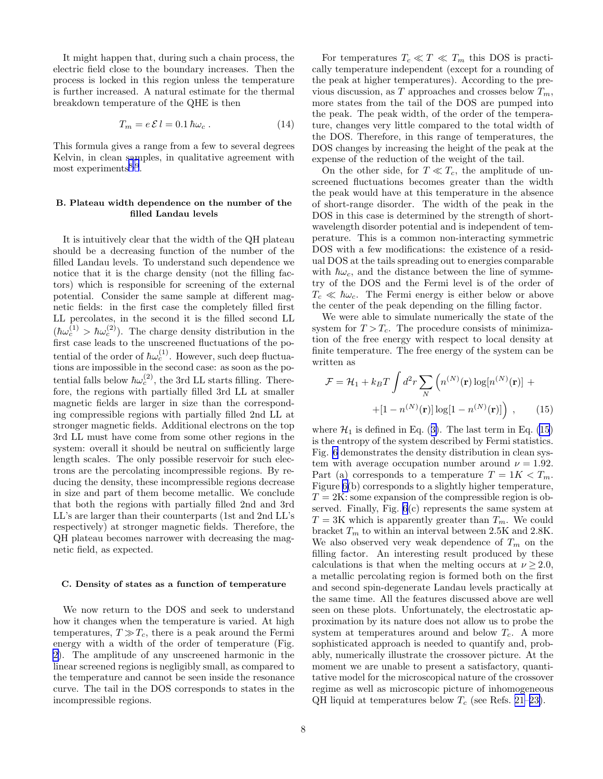It might happen that, during such a chain process, the electric field close to the boundary increases. Then the process is locked in this region unless the temperature is further increased. A natural estimate for the thermal breakdown temperature of the QHE is then

$$
T_m = e \mathcal{E} l = 0.1 \hbar \omega_c \,. \tag{14}
$$

This formula gives a range from a few to several degrees Kelvin, in clean samples, in qualitative agreement with most experiments<sup>[8](#page-11-0),[9](#page-11-0)</sup>.

# B. Plateau width dependence on the number of the filled Landau levels

It is intuitively clear that the width of the QH plateau should be a decreasing function of the number of the filled Landau levels. To understand such dependence we notice that it is the charge density (not the filling factors) which is responsible for screening of the external potential. Consider the same sample at different magnetic fields: in the first case the completely filled first LL percolates, in the second it is the filled second LL  $(\hbar \omega_c^{(1)} > \hbar \omega_c^{(2)})$ . The charge density distribution in the first case leads to the unscreened fluctuations of the potential of the order of  $\hbar \omega_c^{(1)}$ . However, such deep fluctuations are impossible in the second case: as soon as the potential falls below  $\hbar \omega_c^{(2)}$ , the 3rd LL starts filling. Therefore, the regions with partially filled 3rd LL at smaller magnetic fields are larger in size than the corresponding compressible regions with partially filled 2nd LL at stronger magnetic fields. Additional electrons on the top 3rd LL must have come from some other regions in the system: overall it should be neutral on sufficiently large length scales. The only possible reservoir for such electrons are the percolating incompressible regions. By reducing the density, these incompressible regions decrease in size and part of them become metallic. We conclude that both the regions with partially filled 2nd and 3rd LL's are larger than their counterparts (1st and 2nd LL's respectively) at stronger magnetic fields. Therefore, the QH plateau becomes narrower with decreasing the magnetic field, as expected.

#### C. Density of states as a function of temperature

We now return to the DOS and seek to understand how it changes when the temperature is varied. At high temperatures,  $T \gg T_c$ , there is a peak around the Fermi energy with a width of the order of temperature (Fig. [2](#page-3-0)). The amplitude of any unscreened harmonic in the linear screened regions is negligibly small, as compared to the temperature and cannot be seen inside the resonance curve. The tail in the DOS corresponds to states in the incompressible regions.

For temperatures  $T_c \ll T \ll T_m$  this DOS is practically temperature independent (except for a rounding of the peak at higher temperatures). According to the previous discussion, as  $T$  approaches and crosses below  $T_m$ , more states from the tail of the DOS are pumped into the peak. The peak width, of the order of the temperature, changes very little compared to the total width of the DOS. Therefore, in this range of temperatures, the DOS changes by increasing the height of the peak at the expense of the reduction of the weight of the tail.

On the other side, for  $T \ll T_c$ , the amplitude of unscreened fluctuations becomes greater than the width the peak would have at this temperature in the absence of short-range disorder. The width of the peak in the DOS in this case is determined by the strength of shortwavelength disorder potential and is independent of temperature. This is a common non-interacting symmetric DOS with a few modifications: the existence of a residual DOS at the tails spreading out to energies comparable with  $\hbar\omega_c$ , and the distance between the line of symmetry of the DOS and the Fermi level is of the order of  $T_c \ll \hbar \omega_c$ . The Fermi energy is either below or above the center of the peak depending on the filling factor.

We were able to simulate numerically the state of the system for  $T > T_c$ . The procedure consists of minimization of the free energy with respect to local density at finite temperature. The free energy of the system can be written as

$$
\mathcal{F} = \mathcal{H}_1 + k_B T \int d^2 r \sum_N \left( n^{(N)}(\mathbf{r}) \log[n^{(N)}(\mathbf{r})] + \right. \left. + [1 - n^{(N)}(\mathbf{r})] \log[1 - n^{(N)}(\mathbf{r})] \right) , \qquad (15)
$$

where $\mathcal{H}_1$  is defined in Eq. ([3\)](#page-1-0). The last term in Eq. (15) is the entropy of the system described by Fermi statistics. Fig. [6](#page-8-0) demonstrates the density distribution in clean system with average occupation number around  $\nu = 1.92$ . Part (a) corresponds to a temperature  $T = 1K < T_m$ . Figure [6\(](#page-8-0)b) corresponds to a slightly higher temperature,  $T = 2K$ : some expansion of the compressible region is observed. Finally, Fig. [6](#page-8-0)(c) represents the same system at  $T = 3K$  which is apparently greater than  $T_m$ . We could bracket  $T_m$  to within an interval between 2.5K and 2.8K. We also observed very weak dependence of  $T_m$  on the filling factor. An interesting result produced by these calculations is that when the melting occurs at  $\nu > 2.0$ , a metallic percolating region is formed both on the first and second spin-degenerate Landau levels practically at the same time. All the features discussed above are well seen on these plots. Unfortunately, the electrostatic approximation by its nature does not allow us to probe the system at temperatures around and below  $T_c$ . A more sophisticated approach is needed to quantify and, probably, numerically illustrate the crossover picture. At the moment we are unable to present a satisfactory, quantitative model for the microscopical nature of the crossover regime as well as microscopic picture of inhomogeneous QH liquid at temperatures below  $T_c$  (see Refs. [21–23\)](#page-11-0).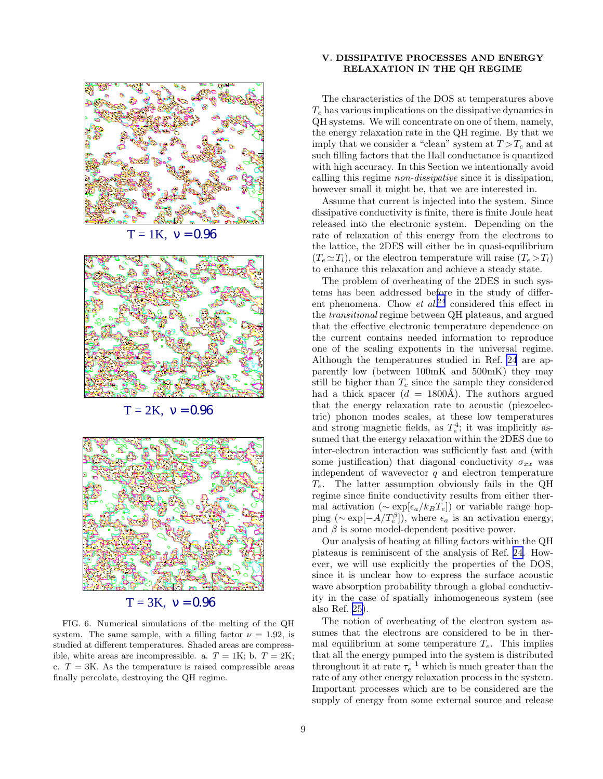<span id="page-8-0"></span>

 $T = 3K$ ,  $v = 0.96$ 

FIG. 6. Numerical simulations of the melting of the QH system. The same sample, with a filling factor  $\nu = 1.92$ , is studied at different temperatures. Shaded areas are compressible, white areas are incompressible. a.  $T = 1$ K; b.  $T = 2$ K; c.  $T = 3K$ . As the temperature is raised compressible areas finally percolate, destroying the QH regime.

## V. DISSIPATIVE PROCESSES AND ENERGY RELAXATION IN THE QH REGIME

The characteristics of the DOS at temperatures above  $T_c$  has various implications on the dissipative dynamics in QH systems. We will concentrate on one of them, namely, the energy relaxation rate in the QH regime. By that we imply that we consider a "clean" system at  $T > T_c$  and at such filling factors that the Hall conductance is quantized with high accuracy. In this Section we intentionally avoid calling this regime non-dissipative since it is dissipation, however small it might be, that we are interested in.

Assume that current is injected into the system. Since dissipative conductivity is finite, there is finite Joule heat released into the electronic system. Depending on the rate of relaxation of this energy from the electrons to the lattice, the 2DES will either be in quasi-equilibrium  $(T_e \simeq T_l)$ , or the electron temperature will raise  $(T_e > T_l)$ to enhance this relaxation and achieve a steady state.

The problem of overheating of the 2DES in such systems has been addressed before in the study of different phenomena. Chow et  $al^{24}$  $al^{24}$  $al^{24}$  considered this effect in the transitional regime between QH plateaus, and argued that the effective electronic temperature dependence on the current contains needed information to reproduce one of the scaling exponents in the universal regime. Although the temperatures studied in Ref. [24](#page-11-0) are apparently low (between 100mK and 500mK) they may still be higher than  $T_c$  since the sample they considered had a thick spacer ( $d = 1800\text{\AA}$ ). The authors argued that the energy relaxation rate to acoustic (piezoelectric) phonon modes scales, at these low temperatures and strong magnetic fields, as  $T_e^4$ ; it was implicitly assumed that the energy relaxation within the 2DES due to inter-electron interaction was sufficiently fast and (with some justification) that diagonal conductivity  $\sigma_{xx}$  was independent of wavevector  $q$  and electron temperature  $T_e$ . The latter assumption obviously fails in the QH regime since finite conductivity results from either thermal activation ( $\sim \exp[\epsilon_a/k_B T_e]$ ) or variable range hopping ( $\sim \exp[-A/T_e^{\beta}]$ ), where  $\epsilon_a$  is an activation energy, and  $\beta$  is some model-dependent positive power.

Our analysis of heating at filling factors within the QH plateaus is reminiscent of the analysis of Ref. [24.](#page-11-0) However, we will use explicitly the properties of the DOS, since it is unclear how to express the surface acoustic wave absorption probability through a global conductivity in the case of spatially inhomogeneous system (see also Ref. [25\)](#page-11-0).

The notion of overheating of the electron system assumes that the electrons are considered to be in thermal equilibrium at some temperature  $T_e$ . This implies that all the energy pumped into the system is distributed throughout it at rate  $\tau_e^{-1}$  which is much greater than the rate of any other energy relaxation process in the system. Important processes which are to be considered are the supply of energy from some external source and release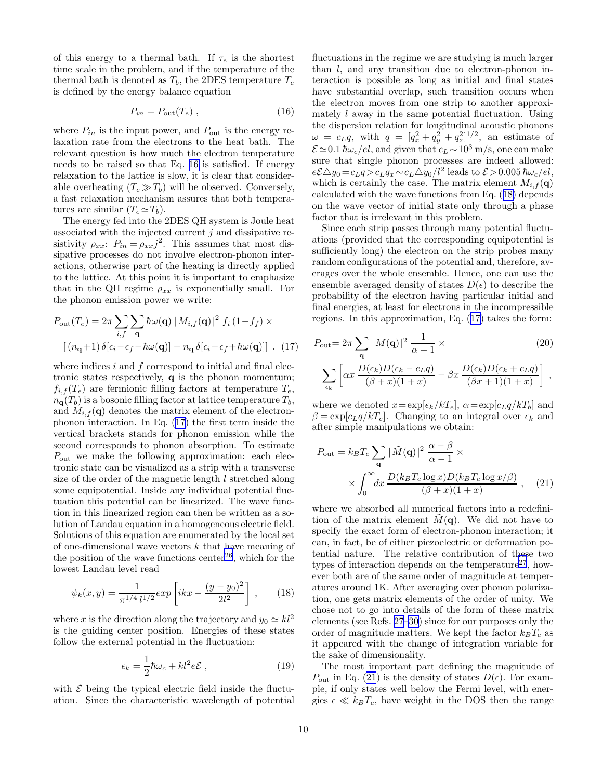<span id="page-9-0"></span>of this energy to a thermal bath. If  $\tau_e$  is the shortest time scale in the problem, and if the temperature of the thermal bath is denoted as  $T_b$ , the 2DES temperature  $T_e$ is defined by the energy balance equation

$$
P_{in} = P_{out}(T_e) , \qquad (16)
$$

where  $P_{in}$  is the input power, and  $P_{out}$  is the energy relaxation rate from the electrons to the heat bath. The relevant question is how much the electron temperature needs to be raised so that Eq. 16 is satisfied. If energy relaxation to the lattice is slow, it is clear that considerable overheating  $(T_e \gg T_b)$  will be observed. Conversely, a fast relaxation mechanism assures that both temperatures are similar  $(T_e \simeq T_b)$ .

The energy fed into the 2DES QH system is Joule heat associated with the injected current  $j$  and dissipative resistivity  $\rho_{xx}$ :  $P_{in} = \rho_{xx}j^2$ . This assumes that most dissipative processes do not involve electron-phonon interactions, otherwise part of the heating is directly applied to the lattice. At this point it is important to emphasize that in the QH regime  $\rho_{xx}$  is exponentially small. For the phonon emission power we write:

$$
P_{\text{out}}(T_e) = 2\pi \sum_{i,f} \sum_{\mathbf{q}} \hbar \omega(\mathbf{q}) |M_{i,f}(\mathbf{q})|^2 f_i (1 - f_f) \times
$$

$$
[(n_{\mathbf{q}}+1) \delta[\epsilon_i - \epsilon_f - \hbar \omega(\mathbf{q})] - n_{\mathbf{q}} \delta[\epsilon_i - \epsilon_f + \hbar \omega(\mathbf{q})]] \quad (17)
$$

where indices  $i$  and  $f$  correspond to initial and final electronic states respectively, q is the phonon momentum;  $f_{i,f}(T_e)$  are fermionic filling factors at temperature  $T_e$ ,  $n_{\mathbf{q}}(T_b)$  is a bosonic filling factor at lattice temperature  $T_b$ , and  $M_{i,f}(\mathbf{q})$  denotes the matrix element of the electronphonon interaction. In Eq. (17) the first term inside the vertical brackets stands for phonon emission while the second corresponds to phonon absorption. To estimate  $P_{\text{out}}$  we make the following approximation: each electronic state can be visualized as a strip with a transverse size of the order of the magnetic length l stretched along some equipotential. Inside any individual potential fluctuation this potential can be linearized. The wave function in this linearized region can then be written as a solution of Landau equation in a homogeneous electric field. Solutions of this equation are enumerated by the local set of one-dimensional wave vectors  $k$  that have meaning of the position of the wave functions center<sup>[26](#page-11-0)</sup>, which for the lowest Landau level read

$$
\psi_k(x,y) = \frac{1}{\pi^{1/4} l^{1/2}} exp\left[i kx - \frac{(y-y_0)^2}{2l^2}\right],
$$
 (18)

where x is the direction along the trajectory and  $y_0 \simeq kl^2$ is the guiding center position. Energies of these states follow the external potential in the fluctuation:

$$
\epsilon_k = \frac{1}{2}\hbar\omega_c + kl^2 e\mathcal{E} \,, \tag{19}
$$

with  $\mathcal E$  being the typical electric field inside the fluctuation. Since the characteristic wavelength of potential

fluctuations in the regime we are studying is much larger than  $l$ , and any transition due to electron-phonon interaction is possible as long as initial and final states have substantial overlap, such transition occurs when the electron moves from one strip to another approximately  $l$  away in the same potential fluctuation. Using the dispersion relation for longitudinal acoustic phonons  $\omega = c_L q$ , with  $q = [q_x^2 + q_y^2 + q_z^2]^{1/2}$ , an estimate of  $\mathcal{E} \simeq 0.1 \hbar \omega_c / el$ , and given that  $c_L \sim 10^3$  m/s, one can make sure that single phonon processes are indeed allowed:  $e\mathcal{E}\triangle y_0 = c_L q > c_L q_x \sim c_L \triangle y_0/l^2$  leads to  $\mathcal{E} > 0.005$   $\hbar \omega_c / el$ , which is certainly the case. The matrix element  $M_{i,f}(\mathbf{q})$ calculated with the wave functions from Eq. (18) depends on the wave vector of initial state only through a phase factor that is irrelevant in this problem.

Since each strip passes through many potential fluctuations (provided that the corresponding equipotential is sufficiently long) the electron on the strip probes many random configurations of the potential and, therefore, averages over the whole ensemble. Hence, one can use the ensemble averaged density of states  $D(\epsilon)$  to describe the probability of the electron having particular initial and final energies, at least for electrons in the incompressible regions. In this approximation, Eq. (17) takes the form:

$$
P_{\text{out}} = 2\pi \sum_{\mathbf{q}} |M(\mathbf{q})|^2 \frac{1}{\alpha - 1} \times
$$
\n
$$
\sum_{\epsilon_{\mathbf{k}}} \left[ \alpha x \frac{D(\epsilon_k) D(\epsilon_k - c_L q)}{(\beta + x)(1 + x)} - \beta x \frac{D(\epsilon_k) D(\epsilon_k + c_L q)}{(\beta x + 1)(1 + x)} \right],
$$
\n(20)

where we denoted  $x = \exp[\epsilon_k/kT_e], \ \alpha = \exp[c_L q/kT_b]$  and  $\beta = \exp[c_L q/kT_e]$ . Changing to an integral over  $\epsilon_k$  and after simple manipulations we obtain:

$$
P_{\text{out}} = k_B T_e \sum_{\mathbf{q}} |\tilde{M}(\mathbf{q})|^2 \frac{\alpha - \beta}{\alpha - 1} \times \times \int_0^\infty dx \frac{D(k_B T_e \log x) D(k_B T_e \log x/\beta)}{(\beta + x)(1 + x)}, \quad (21)
$$

where we absorbed all numerical factors into a redefinition of the matrix element  $M(\mathbf{q})$ . We did not have to specify the exact form of electron-phonon interaction; it can, in fact, be of either piezoelectric or deformation potential nature. The relative contribution of these two types of interaction depends on the temperature<sup>[27](#page-11-0)</sup>, however both are of the same order of magnitude at temperatures around 1K. After averaging over phonon polarization, one gets matrix elements of the order of unity. We chose not to go into details of the form of these matrix elements (see Refs. [27–30](#page-11-0)) since for our purposes only the order of magnitude matters. We kept the factor  $k_B T_e$  as it appeared with the change of integration variable for the sake of dimensionality.

The most important part defining the magnitude of  $P_{\text{out}}$  in Eq. (21) is the density of states  $D(\epsilon)$ . For example, if only states well below the Fermi level, with energies  $\epsilon \ll k_B T_e$ , have weight in the DOS then the range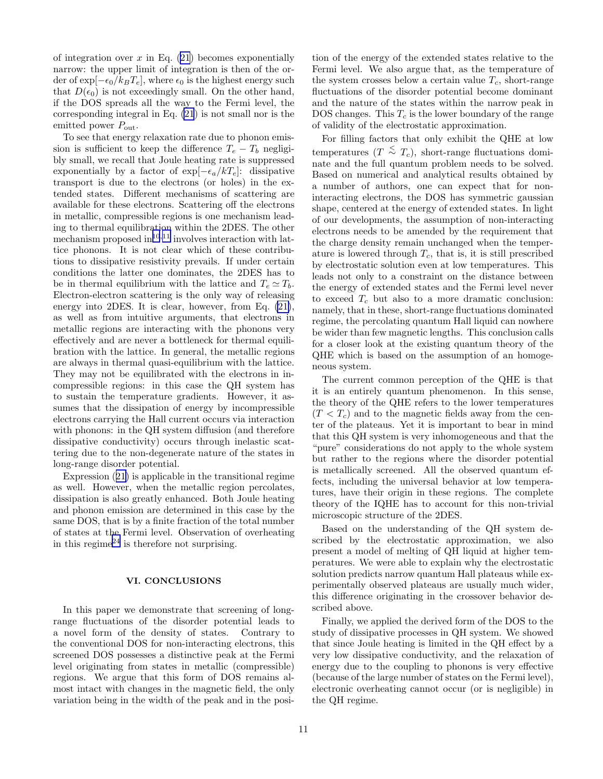of integration over  $x$  in Eq. [\(21](#page-9-0)) becomes exponentially narrow: the upper limit of integration is then of the order of  $\exp[-\epsilon_0/k_BT_e]$ , where  $\epsilon_0$  is the highest energy such that  $D(\epsilon_0)$  is not exceedingly small. On the other hand, if the DOS spreads all the way to the Fermi level, the corresponding integral in Eq. [\(21](#page-9-0)) is not small nor is the emitted power  $P_{\text{out}}$ .

To see that energy relaxation rate due to phonon emission is sufficient to keep the difference  $T_e - T_b$  negligibly small, we recall that Joule heating rate is suppressed exponentially by a factor of  $\exp[-\epsilon_a/kT_e]$ : dissipative transport is due to the electrons (or holes) in the extended states. Different mechanisms of scattering are available for these electrons. Scattering off the electrons in metallic, compressible regions is one mechanism leading to thermal equilibration within the 2DES. The other mechanism proposed in $^{10,11}$  $^{10,11}$  $^{10,11}$  $^{10,11}$  $^{10,11}$  involves interaction with lattice phonons. It is not clear which of these contributions to dissipative resistivity prevails. If under certain conditions the latter one dominates, the 2DES has to be in thermal equilibrium with the lattice and  $T_e \simeq T_b$ . Electron-electron scattering is the only way of releasing energy into 2DES. It is clear, however, from Eq. [\(21\)](#page-9-0), as well as from intuitive arguments, that electrons in metallic regions are interacting with the phonons very effectively and are never a bottleneck for thermal equilibration with the lattice. In general, the metallic regions are always in thermal quasi-equilibrium with the lattice. They may not be equilibrated with the electrons in incompressible regions: in this case the QH system has to sustain the temperature gradients. However, it assumes that the dissipation of energy by incompressible electrons carrying the Hall current occurs via interaction with phonons: in the QH system diffusion (and therefore dissipative conductivity) occurs through inelastic scattering due to the non-degenerate nature of the states in long-range disorder potential.

Expression([21\)](#page-9-0) is applicable in the transitional regime as well. However, when the metallic region percolates, dissipation is also greatly enhanced. Both Joule heating and phonon emission are determined in this case by the same DOS, that is by a finite fraction of the total number of states at the Fermi level. Observation of overheating in this regime<sup>[24](#page-11-0)</sup> is therefore not surprising.

#### VI. CONCLUSIONS

In this paper we demonstrate that screening of longrange fluctuations of the disorder potential leads to a novel form of the density of states. Contrary to the conventional DOS for non-interacting electrons, this screened DOS possesses a distinctive peak at the Fermi level originating from states in metallic (compressible) regions. We argue that this form of DOS remains almost intact with changes in the magnetic field, the only variation being in the width of the peak and in the posi-

tion of the energy of the extended states relative to the Fermi level. We also argue that, as the temperature of the system crosses below a certain value  $T_c$ , short-range fluctuations of the disorder potential become dominant and the nature of the states within the narrow peak in DOS changes. This  $T_c$  is the lower boundary of the range of validity of the electrostatic approximation.

For filling factors that only exhibit the QHE at low temperatures  $(T \n\leq T_c)$ , short-range fluctuations dominate and the full quantum problem needs to be solved. Based on numerical and analytical results obtained by a number of authors, one can expect that for noninteracting electrons, the DOS has symmetric gaussian shape, centered at the energy of extended states. In light of our developments, the assumption of non-interacting electrons needs to be amended by the requirement that the charge density remain unchanged when the temperature is lowered through  $T_c$ , that is, it is still prescribed by electrostatic solution even at low temperatures. This leads not only to a constraint on the distance between the energy of extended states and the Fermi level never to exceed  $T_c$  but also to a more dramatic conclusion: namely, that in these, short-range fluctuations dominated regime, the percolating quantum Hall liquid can nowhere be wider than few magnetic lengths. This conclusion calls for a closer look at the existing quantum theory of the QHE which is based on the assumption of an homogeneous system.

The current common perception of the QHE is that it is an entirely quantum phenomenon. In this sense, the theory of the QHE refers to the lower temperatures  $(T < T_c)$  and to the magnetic fields away from the center of the plateaus. Yet it is important to bear in mind that this QH system is very inhomogeneous and that the "pure" considerations do not apply to the whole system but rather to the regions where the disorder potential is metallically screened. All the observed quantum effects, including the universal behavior at low temperatures, have their origin in these regions. The complete theory of the IQHE has to account for this non-trivial microscopic structure of the 2DES.

Based on the understanding of the QH system described by the electrostatic approximation, we also present a model of melting of QH liquid at higher temperatures. We were able to explain why the electrostatic solution predicts narrow quantum Hall plateaus while experimentally observed plateaus are usually much wider, this difference originating in the crossover behavior described above.

Finally, we applied the derived form of the DOS to the study of dissipative processes in QH system. We showed that since Joule heating is limited in the QH effect by a very low dissipative conductivity, and the relaxation of energy due to the coupling to phonons is very effective (because of the large number of states on the Fermi level), electronic overheating cannot occur (or is negligible) in the QH regime.